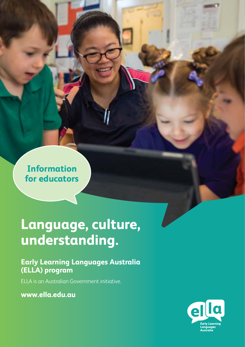**Information for educators**

# **Language, culture, understanding.**

### **Early Learning Languages Australia (ELLA) program**

ELLA is an Australian Government initiative.

**<www.ella.edu.au>**

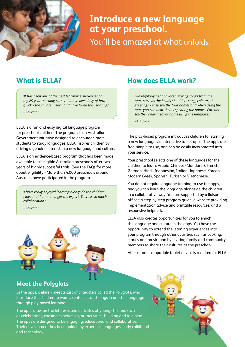

## **Introduce a new language at your preschool.**

You'll be amazed at what unfolds.

### **What is ELLA?**

*'It has been one of the best learning experiences of my 25-year teaching career. I am in awe daily of how quickly the children learn and have loved this learning.'* 

– Educator

ELLA is a fun and easy digital language program for preschool children. The program is an Australian Government initiative designed to encourage more students to study languages. ELLA inspires children by driving a genuine interest in a new language and culture.

ELLA is an evidence-based program that has been made available to all eligible Australian preschools after two years of highly successful trials. (See the FAQs for more about eligibility.) More than 4,000 preschools around Australia have participated in the program.

*'I have really enjoyed learning alongside the children. I love that I am no longer the expert. There is so much collaboration.'*

– Educator



### **How does ELLA work?**

*'We regularly hear children singing songs from the apps such as the heads-shoulders song, colours, the greetings – they say the fruit names and when using the apps you can hear them repeating the names. Parents say they hear them at home using the language.'* 

– Educator

The play-based program introduces children to learning a new language via interactive tablet apps. The apps are free, simple to use, and can be easily incorporated into your service.

Your preschool selects one of these languages for the children to learn: Arabic, Chinese (Mandarin), French, German, Hindi, Indonesian, Italian, Japanese, Korean, Modern Greek, Spanish, Turkish or Vietnamese.

You do not require language training to use the apps, and you can learn the language alongside the children in a collaborative way. You are supported by a liaison officer; a step-by-step program guide; a website providing implementation advice and printable resources; and a responsive helpdesk.

ELLA also creates opportunities for you to enrich the language and culture in the apps. You have the opportunity to extend the learning experiences into your program through other activities such as cooking, stories and music, and by inviting family and community members to share their cultures at the preschool.

At least one compatible tablet device is required for ELLA.

### **Meet the Polyglots**

In the apps, children meet a cast of characters called the Polyglots, who introduce the children to words, sentences and songs in another language through play-based learning.

The apps draw on the interests and activities of young children, such as celebrations, cooking experiences, art activities, building and role-play. The apps are designed to be engaging, educational and collaborative. Their development has been guided by experts in languages, early childhood and technology.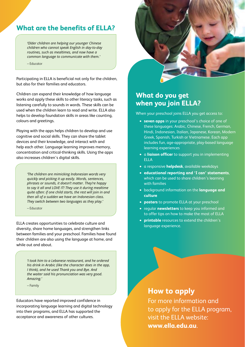### **What are the benefits of ELLA?**

*'Older children are helping our younger Chinese children who cannot speak English in day-to-day routines, such as mealtimes, and now have a common language to communicate with them.'* 

– Educator

Participating in ELLA is beneficial not only for the children, but also for their families and educators.

Children can expand their knowledge of how language works and apply these skills to other literacy tasks, such as listening carefully to sounds in words. These skills can be used when the children learn to read and write. ELLA also helps to develop foundation skills in areas like counting, colours and greetings.

Playing with the apps helps children to develop and use cognitive and social skills. They can share the tablet devices and their knowledge, and interact with and help each other. Language learning improves memory, concentration and critical-thinking skills. Using the apps also increases children's digital skills.

> *'The children are mimicking Indonesian words very quickly and picking it up easily. Words, sentences, phrases or sounds, it doesn't matter. They're happy to say it all and LOVE IT! They use it during mealtime quite often: if one child starts, the rest will join in and then all of a sudden we have an Indonesian class. They switch between two languages as they play.'*

– Educator

ELLA creates opportunities to celebrate culture and diversity, share home languages, and strengthen links between families and your preschool. Families have found their children are also using the language at home, and while out and about.

> *'I took him to a Lebanese restaurant, and he ordered his drink in Arabic (like the character does in the app, I think), and he used Thank you and Bye. And the waiter said his pronunciation was very good. Amazing.'*

– Family

Educators have reported improved confidence in incorporating language learning and digital technology into their programs, and ELLA has supported the acceptance and awareness of other cultures.



### **What do you get when you join ELLA?**

When your preschool joins ELLA you get access to:

- **• seven apps** in your preschool's choice of one of these languages: Arabic, Chinese, French, German, Hindi, Indonesian, Italian, Japanese, Korean, Modern Greek, Spanish, Turkish or Vietnamese. Each app includes fun, age-appropriate, play-based language learning experiences
- **•** a **liaison officer** to support you in implementing ELLA
- **•** a responsive **helpdesk**, available weekdays
- **• educational reporting and 'I can' statements**, which can be used to share children's learning with families
- **•** background information on the **language and culture**
- **• posters** to promote ELLA at your preschool
- **•** regular **newsletters** to keep you informed and to offer tips on how to make the most of ELLA
- **• printable** resources to extend the children's language experience.

### **How to apply**

For more information and to apply for the ELLA program, visit the ELLA website: **[www.ella.edu.au](http://www.ella.edu.au)**.